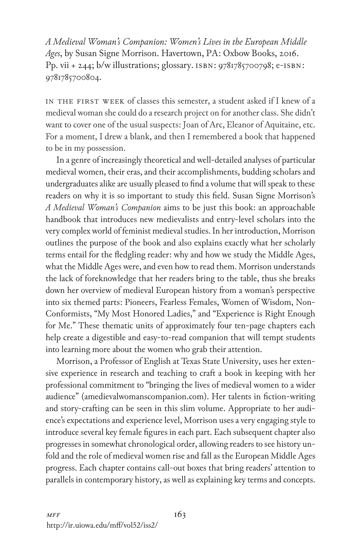*A Medieval Woman's Companion: Women's Lives in the European Middle Ages*, by Susan Signe Morrison. Havertown, PA: Oxbow Books, 2016. Pp. vii + 244; b/w illustrations; glossary. ISBN: 9781785700798; e-ISBN: 9781785700804.

In the first week of classes this semester, a student asked if I knew of a medieval woman she could do a research project on for another class. She didn't want to cover one of the usual suspects: Joan of Arc, Eleanor of Aquitaine, etc. For a moment, I drew a blank, and then I remembered a book that happened to be in my possession.

In a genre of increasingly theoretical and well-detailed analyses of particular medieval women, their eras, and their accomplishments, budding scholars and undergraduates alike are usually pleased to find a volume that will speak to these readers on why it is so important to study this field. Susan Signe Morrison's *A Medieval Woman's Companion* aims to be just this book: an approachable handbook that introduces new medievalists and entry-level scholars into the very complex world of feminist medieval studies. In her introduction, Morrison outlines the purpose of the book and also explains exactly what her scholarly terms entail for the fledgling reader: why and how we study the Middle Ages, what the Middle Ages were, and even how to read them. Morrison understands the lack of foreknowledge that her readers bring to the table, thus she breaks down her overview of medieval European history from a woman's perspective into six themed parts: Pioneers, Fearless Females, Women of Wisdom, Non-Conformists, "My Most Honored Ladies," and "Experience is Right Enough for Me." These thematic units of approximately four ten-page chapters each help create a digestible and easy-to-read companion that will tempt students into learning more about the women who grab their attention.

Morrison, a Professor of English at Texas State University, uses her extensive experience in research and teaching to craft a book in keeping with her professional commitment to "bringing the lives of medieval women to a wider audience" (amedievalwomanscompanion.com). Her talents in fiction-writing and story-crafting can be seen in this slim volume. Appropriate to her audience's expectations and experience level, Morrison uses a very engaging style to introduce several key female figures in each part. Each subsequent chapter also progresses in somewhat chronological order, allowing readers to see history unfold and the role of medieval women rise and fall as the European Middle Ages progress. Each chapter contains call-out boxes that bring readers' attention to parallels in contemporary history, as well as explaining key terms and concepts.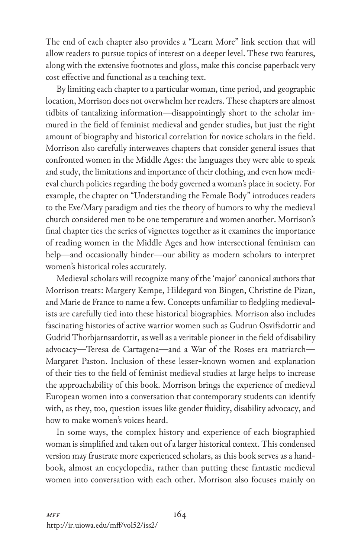The end of each chapter also provides a "Learn More" link section that will allow readers to pursue topics of interest on a deeper level. These two features, along with the extensive footnotes and gloss, make this concise paperback very cost effective and functional as a teaching text.

By limiting each chapter to a particular woman, time period, and geographic location, Morrison does not overwhelm her readers. These chapters are almost tidbits of tantalizing information—disappointingly short to the scholar immured in the field of feminist medieval and gender studies, but just the right amount of biography and historical correlation for novice scholars in the field. Morrison also carefully interweaves chapters that consider general issues that confronted women in the Middle Ages: the languages they were able to speak and study, the limitations and importance of their clothing, and even how medieval church policies regarding the body governed a woman's place in society. For example, the chapter on "Understanding the Female Body" introduces readers to the Eve/Mary paradigm and ties the theory of humors to why the medieval church considered men to be one temperature and women another. Morrison's final chapter ties the series of vignettes together as it examines the importance of reading women in the Middle Ages and how intersectional feminism can help—and occasionally hinder—our ability as modern scholars to interpret women's historical roles accurately.

Medieval scholars will recognize many of the 'major' canonical authors that Morrison treats: Margery Kempe, Hildegard von Bingen, Christine de Pizan, and Marie de France to name a few. Concepts unfamiliar to fledgling medievalists are carefully tied into these historical biographies. Morrison also includes fascinating histories of active warrior women such as Gudrun Osvifsdottir and Gudrid Thorbjarnsardottir, as well as a veritable pioneer in the field of disability advocacy—Teresa de Cartagena—and a War of the Roses era matriarch— Margaret Paston. Inclusion of these lesser-known women and explanation of their ties to the field of feminist medieval studies at large helps to increase the approachability of this book. Morrison brings the experience of medieval European women into a conversation that contemporary students can identify with, as they, too, question issues like gender fluidity, disability advocacy, and how to make women's voices heard.

In some ways, the complex history and experience of each biographied woman is simplified and taken out of a larger historical context. This condensed version may frustrate more experienced scholars, as this book serves as a handbook, almost an encyclopedia, rather than putting these fantastic medieval women into conversation with each other. Morrison also focuses mainly on